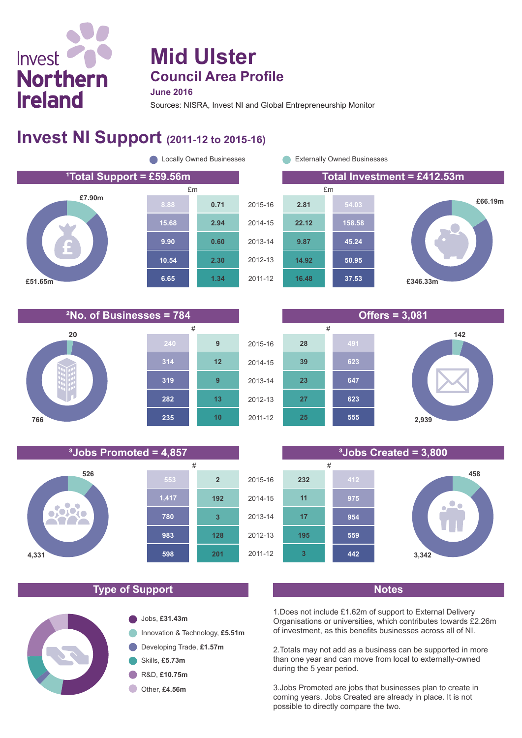# Invest **Northern Ireland**

## **Mid Ulster Council Area Profile**

#### **June 2016**

Sources: NISRA, Invest NI and Global Entrepreneurship Monitor

## **Invest NI Support (2011-12 to 2015-16)**







**526**

 $\bullet$ TO.

**4,331**



**25**

2011-12

**555**





#### **Type of Support Notes**

**983**

**598**

**201**

**128**

**3**

**192**

**2**

**780**

**1,417**

**553**



1.Does not include £1.62m of support to External Delivery Organisations or universities, which contributes towards £2.26m of investment, as this benefits businesses across all of NI.

2.Totals may not add as a business can be supported in more than one year and can move from local to externally-owned during the 5 year period.

3.Jobs Promoted are jobs that businesses plan to create in coming years. Jobs Created are already in place. It is not possible to directly compare the two.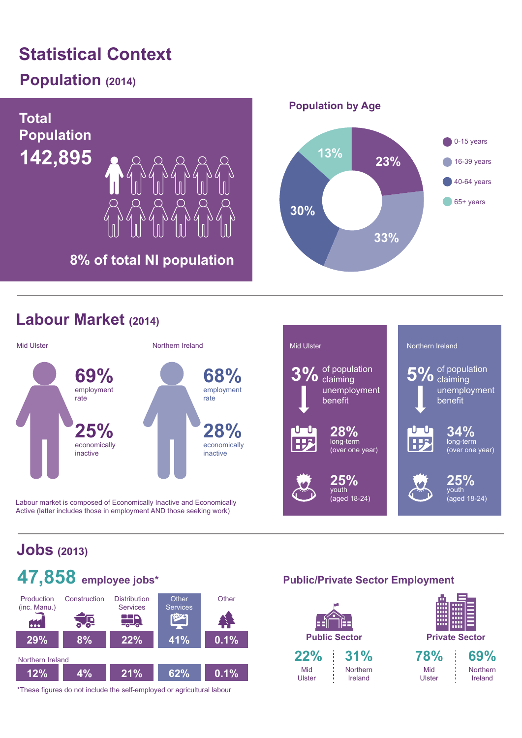## **Statistical Context**

## **Population (2014)**



### **Labour Market (2014)**



Labour market is composed of Economically Inactive and Economically Active (latter includes those in employment AND those seeking work)



## **Jobs (2013)**



\*These figures do not include the self-employed or agricultural labour

#### **Public/Private Sector Employment**

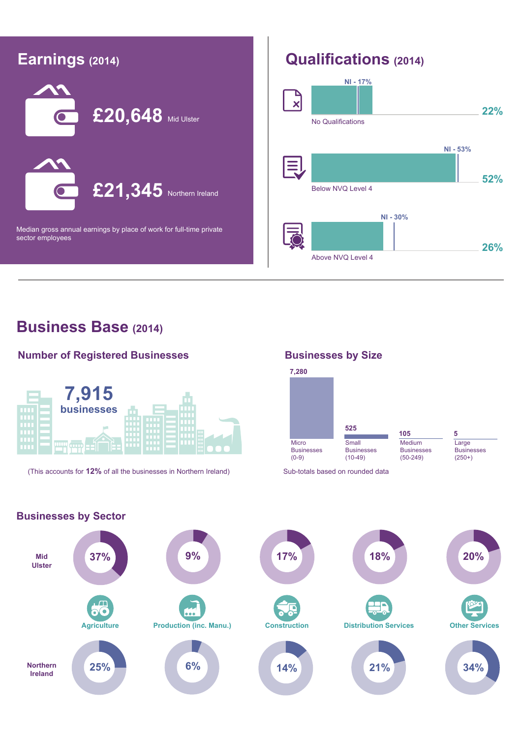

#### **Business Base (2014)**

#### **Number of Registered Businesses**



(This accounts for **12%** of all the businesses in Northern Ireland) Sub-totals based on rounded data

#### **Businesses by Size**